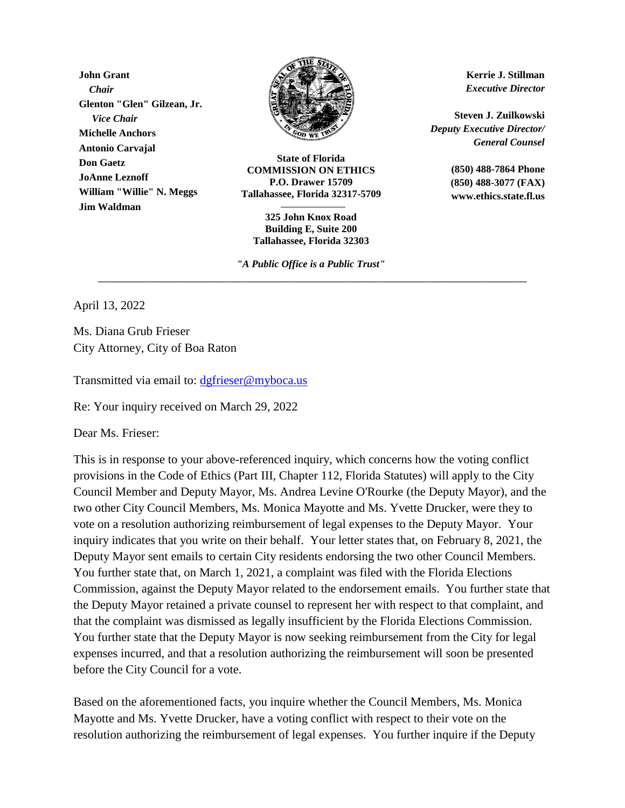**John Grant** *Chair* **Glenton "Glen" Gilzean, Jr.** *Vice Chair* **Michelle Anchors Antonio Carvajal Don Gaetz JoAnne Leznoff William "Willie" N. Meggs Jim Waldman**



**State of Florida COMMISSION ON ETHICS P.O. Drawer 15709 Tallahassee, Florida 32317-5709**

**325 John Knox Road Building E, Suite 200 Tallahassee, Florida 32303**

*"A Public Office is a Public Trust"* \_\_\_\_\_\_\_\_\_\_\_\_\_\_\_\_\_\_\_\_\_\_\_\_\_\_\_\_\_\_\_\_\_\_\_\_\_\_\_\_\_\_\_\_\_\_\_\_\_\_\_\_\_\_\_\_\_\_\_\_\_\_\_\_\_\_\_\_\_\_

**Kerrie J. Stillman** *Executive Director*

**Steven J. Zuilkowski** *Deputy Executive Director/ General Counsel*

> **(850) 488-7864 Phone (850) 488-3077 (FAX) www.ethics.state.fl.us**

April 13, 2022

Ms. Diana Grub Frieser City Attorney, City of Boa Raton

Transmitted via email to: [dgfrieser@myboca.us](mailto:dgfrieser@myboca.us)

Re: Your inquiry received on March 29, 2022

Dear Ms. Frieser:

This is in response to your above-referenced inquiry, which concerns how the voting conflict provisions in the Code of Ethics (Part III, Chapter 112, Florida Statutes) will apply to the City Council Member and Deputy Mayor, Ms. Andrea Levine O'Rourke (the Deputy Mayor), and the two other City Council Members, Ms. Monica Mayotte and Ms. Yvette Drucker, were they to vote on a resolution authorizing reimbursement of legal expenses to the Deputy Mayor. Your inquiry indicates that you write on their behalf. Your letter states that, on February 8, 2021, the Deputy Mayor sent emails to certain City residents endorsing the two other Council Members. You further state that, on March 1, 2021, a complaint was filed with the Florida Elections Commission, against the Deputy Mayor related to the endorsement emails. You further state that the Deputy Mayor retained a private counsel to represent her with respect to that complaint, and that the complaint was dismissed as legally insufficient by the Florida Elections Commission. You further state that the Deputy Mayor is now seeking reimbursement from the City for legal expenses incurred, and that a resolution authorizing the reimbursement will soon be presented before the City Council for a vote.

Based on the aforementioned facts, you inquire whether the Council Members, Ms. Monica Mayotte and Ms. Yvette Drucker, have a voting conflict with respect to their vote on the resolution authorizing the reimbursement of legal expenses. You further inquire if the Deputy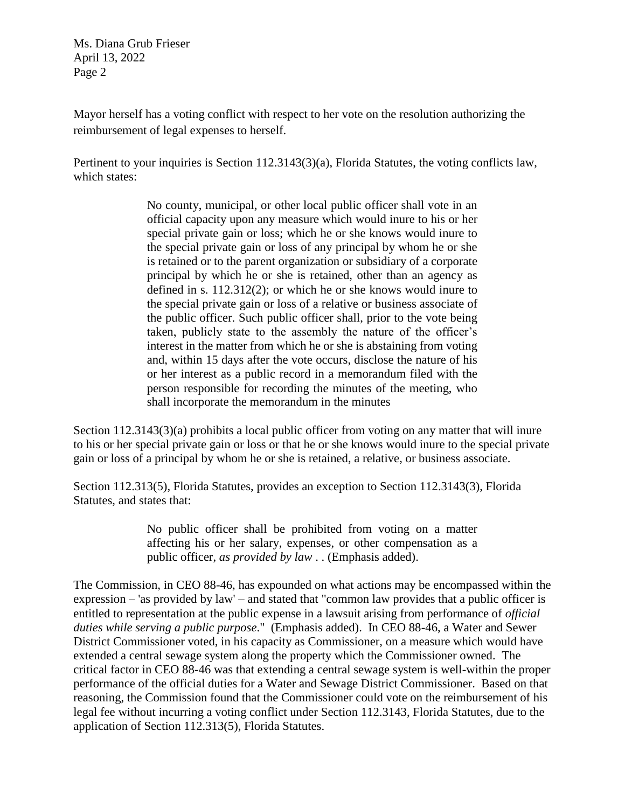Ms. Diana Grub Frieser April 13, 2022 Page 2

Mayor herself has a voting conflict with respect to her vote on the resolution authorizing the reimbursement of legal expenses to herself.

Pertinent to your inquiries is Section 112.3143(3)(a), Florida Statutes, the voting conflicts law, which states:

> No county, municipal, or other local public officer shall vote in an official capacity upon any measure which would inure to his or her special private gain or loss; which he or she knows would inure to the special private gain or loss of any principal by whom he or she is retained or to the parent organization or subsidiary of a corporate principal by which he or she is retained, other than an agency as defined in s. 112.312(2); or which he or she knows would inure to the special private gain or loss of a relative or business associate of the public officer. Such public officer shall, prior to the vote being taken, publicly state to the assembly the nature of the officer's interest in the matter from which he or she is abstaining from voting and, within 15 days after the vote occurs, disclose the nature of his or her interest as a public record in a memorandum filed with the person responsible for recording the minutes of the meeting, who shall incorporate the memorandum in the minutes

Section 112.3143(3)(a) prohibits a local public officer from voting on any matter that will inure to his or her special private gain or loss or that he or she knows would inure to the special private gain or loss of a principal by whom he or she is retained, a relative, or business associate.

Section 112.313(5), Florida Statutes, provides an exception to Section 112.3143(3), Florida Statutes, and states that:

> No public officer shall be prohibited from voting on a matter affecting his or her salary, expenses, or other compensation as a public officer, *as provided by law* . . (Emphasis added).

The Commission, in CEO 88-46, has expounded on what actions may be encompassed within the expression – 'as provided by law' – and stated that "common law provides that a public officer is entitled to representation at the public expense in a lawsuit arising from performance of *official duties while serving a public purpose*." (Emphasis added). In CEO 88-46, a Water and Sewer District Commissioner voted, in his capacity as Commissioner, on a measure which would have extended a central sewage system along the property which the Commissioner owned. The critical factor in CEO 88-46 was that extending a central sewage system is well-within the proper performance of the official duties for a Water and Sewage District Commissioner. Based on that reasoning, the Commission found that the Commissioner could vote on the reimbursement of his legal fee without incurring a voting conflict under Section 112.3143, Florida Statutes, due to the application of Section 112.313(5), Florida Statutes.